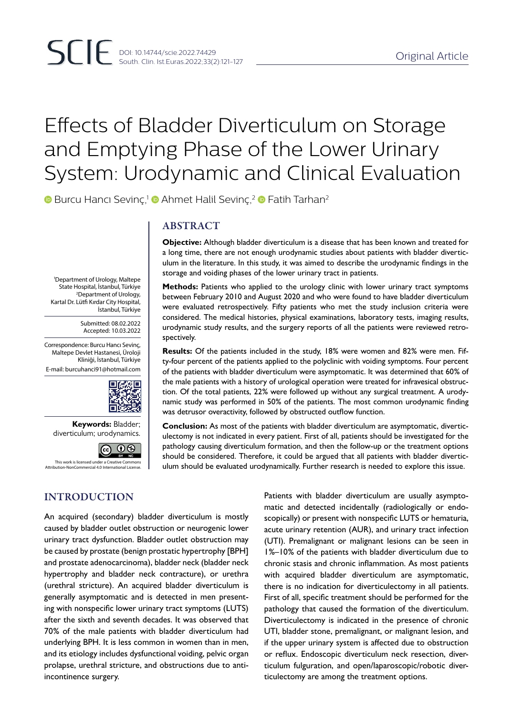# Effects of Bladder Diverticulum on Storage and Emptying Phase of the Lower Urinary System: Urodynamic and Clinical Evaluation

**■** Burcu Hancı Sevinc,<sup>1</sup> ■ Ahmet Halil Sevinc,<sup>2</sup> ■ Fatih Tarhan<sup>2</sup>

#### 1 Department of Urology, Maltepe State Hospital, İstanbul, Türkiye 2 Department of Urology, Kartal Dr. Lütfi Kırdar City Hospital, İstanbul, Türkiye

Submitted: 08.02.2022 Accepted: 10.03.2022

Correspondence: Burcu Hancı Sevinç, Maltepe Devlet Hastanesi, Üroloji Kliniği, İstanbul, Türkiye E-mail: burcuhanci91@hotmail.com



**Keywords:** Bladder; diverticulum; urodynamics.

ெ ⊕ This work is licensed under a Creative Comme nooc an are<br>Noncial 4.0 Int

# INTRODUCTION

ABSTRACT

**Objective:** Although bladder diverticulum is a disease that has been known and treated for a long time, there are not enough urodynamic studies about patients with bladder diverticulum in the literature. In this study, it was aimed to describe the urodynamic findings in the storage and voiding phases of the lower urinary tract in patients.

**Methods:** Patients who applied to the urology clinic with lower urinary tract symptoms between February 2010 and August 2020 and who were found to have bladder diverticulum were evaluated retrospectively. Fifty patients who met the study inclusion criteria were considered. The medical histories, physical examinations, laboratory tests, imaging results, urodynamic study results, and the surgery reports of all the patients were reviewed retrospectively.

**Results:** Of the patients included in the study, 18% were women and 82% were men. Fifty-four percent of the patients applied to the polyclinic with voiding symptoms. Four percent of the patients with bladder diverticulum were asymptomatic. It was determined that 60% of the male patients with a history of urological operation were treated for infravesical obstruction. Of the total patients, 22% were followed up without any surgical treatment. A urodynamic study was performed in 50% of the patients. The most common urodynamic finding was detrusor overactivity, followed by obstructed outflow function.

**Conclusion:** As most of the patients with bladder diverticulum are asymptomatic, diverticulectomy is not indicated in every patient. First of all, patients should be investigated for the pathology causing diverticulum formation, and then the follow-up or the treatment options should be considered. Therefore, it could be argued that all patients with bladder diverticulum should be evaluated urodynamically. Further research is needed to explore this issue.

An acquired (secondary) bladder diverticulum is mostly caused by bladder outlet obstruction or neurogenic lower urinary tract dysfunction. Bladder outlet obstruction may be caused by prostate (benign prostatic hypertrophy [BPH] and prostate adenocarcinoma), bladder neck (bladder neck hypertrophy and bladder neck contracture), or urethra (urethral stricture). An acquired bladder diverticulum is generally asymptomatic and is detected in men presenting with nonspecific lower urinary tract symptoms (LUTS) after the sixth and seventh decades. It was observed that 70% of the male patients with bladder diverticulum had underlying BPH. It is less common in women than in men, and its etiology includes dysfunctional voiding, pelvic organ prolapse, urethral stricture, and obstructions due to antiincontinence surgery.

Patients with bladder diverticulum are usually asymptomatic and detected incidentally (radiologically or endoscopically) or present with nonspecific LUTS or hematuria, acute urinary retention (AUR), and urinary tract infection (UTI). Premalignant or malignant lesions can be seen in 1%–10% of the patients with bladder diverticulum due to chronic stasis and chronic inflammation. As most patients with acquired bladder diverticulum are asymptomatic, there is no indication for diverticulectomy in all patients. First of all, specific treatment should be performed for the pathology that caused the formation of the diverticulum. Diverticulectomy is indicated in the presence of chronic UTI, bladder stone, premalignant, or malignant lesion, and if the upper urinary system is affected due to obstruction or reflux. Endoscopic diverticulum neck resection, diverticulum fulguration, and open/laparoscopic/robotic diverticulectomy are among the treatment options.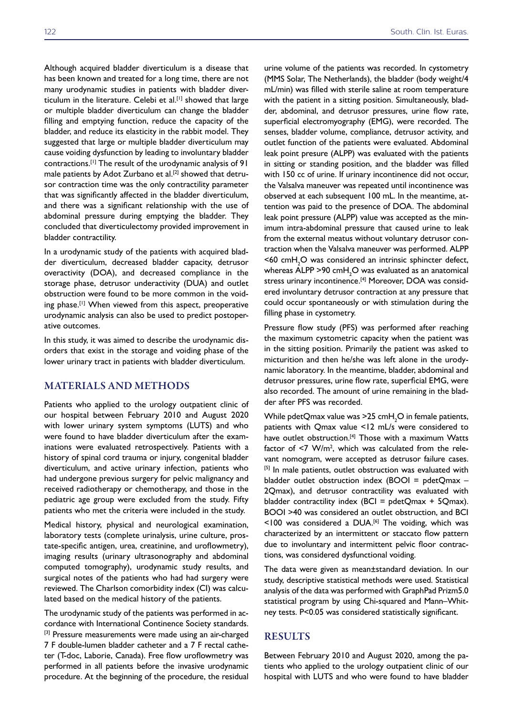Although acquired bladder diverticulum is a disease that has been known and treated for a long time, there are not many urodynamic studies in patients with bladder diverticulum in the literature. Celebi et al.<sup>[1]</sup> showed that large or multiple bladder diverticulum can change the bladder filling and emptying function, reduce the capacity of the bladder, and reduce its elasticity in the rabbit model. They suggested that large or multiple bladder diverticulum may cause voiding dysfunction by leading to involuntary bladder contractions.[1] The result of the urodynamic analysis of 91 male patients by Adot Zurbano et al.<sup>[2]</sup> showed that detrusor contraction time was the only contractility parameter that was significantly affected in the bladder diverticulum, and there was a significant relationship with the use of abdominal pressure during emptying the bladder. They concluded that diverticulectomy provided improvement in bladder contractility.

In a urodynamic study of the patients with acquired bladder diverticulum, decreased bladder capacity, detrusor overactivity (DOA), and decreased compliance in the storage phase, detrusor underactivity (DUA) and outlet obstruction were found to be more common in the voiding phase.<sup>[1]</sup> When viewed from this aspect, preoperative urodynamic analysis can also be used to predict postoperative outcomes.

In this study, it was aimed to describe the urodynamic disorders that exist in the storage and voiding phase of the lower urinary tract in patients with bladder diverticulum.

# MATERIALS AND METHODS

Patients who applied to the urology outpatient clinic of our hospital between February 2010 and August 2020 with lower urinary system symptoms (LUTS) and who were found to have bladder diverticulum after the examinations were evaluated retrospectively. Patients with a history of spinal cord trauma or injury, congenital bladder diverticulum, and active urinary infection, patients who had undergone previous surgery for pelvic malignancy and received radiotherapy or chemotherapy, and those in the pediatric age group were excluded from the study. Fifty patients who met the criteria were included in the study.

Medical history, physical and neurological examination, laboratory tests (complete urinalysis, urine culture, prostate-specific antigen, urea, creatinine, and uroflowmetry), imaging results (urinary ultrasonography and abdominal computed tomography), urodynamic study results, and surgical notes of the patients who had had surgery were reviewed. The Charlson comorbidity index (CI) was calculated based on the medical history of the patients.

The urodynamic study of the patients was performed in accordance with International Continence Society standards. [3] Pressure measurements were made using an air-charged 7 F double-lumen bladder catheter and a 7 F rectal catheter (T-doc, Laborie, Canada). Free flow uroflowmetry was performed in all patients before the invasive urodynamic procedure. At the beginning of the procedure, the residual

urine volume of the patients was recorded. In cystometry (MMS Solar, The Netherlands), the bladder (body weight/4 mL/min) was filled with sterile saline at room temperature with the patient in a sitting position. Simultaneously, bladder, abdominal, and detrusor pressures, urine flow rate, superficial electromyography (EMG), were recorded. The senses, bladder volume, compliance, detrusor activity, and outlet function of the patients were evaluated. Abdominal leak point presure (ALPP) was evaluated with the patients in sitting or standing position, and the bladder was filled with 150 cc of urine. If urinary incontinence did not occur, the Valsalva maneuver was repeated until incontinence was observed at each subsequent 100 mL. In the meantime, attention was paid to the presence of DOA. The abdominal leak point pressure (ALPP) value was accepted as the minimum intra-abdominal pressure that caused urine to leak from the external meatus without voluntary detrusor contraction when the Valsalva maneuver was performed. ALPP  $\leq$ 60 cm $H_2$ O was considered an intrinsic sphincter defect, whereas ALPP >90  $\text{cmH}_{2}$ O was evaluated as an anatomical stress urinary incontinence.<sup>[4]</sup> Moreover, DOA was considered involuntary detrusor contraction at any pressure that could occur spontaneously or with stimulation during the filling phase in cystometry.

Pressure flow study (PFS) was performed after reaching the maximum cystometric capacity when the patient was in the sitting position. Primarily the patient was asked to micturition and then he/she was left alone in the urodynamic laboratory. In the meantime, bladder, abdominal and detrusor pressures, urine flow rate, superficial EMG, were also recorded. The amount of urine remaining in the bladder after PFS was recorded.

While pdetQmax value was >25  $cmH<sub>2</sub>O$  in female patients, patients with Qmax value <12 mL/s were considered to have outlet obstruction.<sup>[4]</sup> Those with a maximum Watts factor of  $\leq$ 7 W/m<sup>2</sup>, which was calculated from the relevant nomogram, were accepted as detrusor failure cases. [5] In male patients, outlet obstruction was evaluated with bladder outlet obstruction index (BOOI = pdetQmax  $-$ 2Qmax), and detrusor contractility was evaluated with bladder contractility index (BCI = pdetQmax + 5Qmax). BOOI >40 was considered an outlet obstruction, and BCI  $<$ 100 was considered a DUA.<sup>[6]</sup> The voiding, which was characterized by an intermittent or staccato flow pattern due to involuntary and intermittent pelvic floor contractions, was considered dysfunctional voiding.

The data were given as mean±standard deviation. In our study, descriptive statistical methods were used. Statistical analysis of the data was performed with GraphPad Prizm5.0 statistical program by using Chi-squared and Mann–Whitney tests. P<0.05 was considered statistically significant.

## RESULTS

Between February 2010 and August 2020, among the patients who applied to the urology outpatient clinic of our hospital with LUTS and who were found to have bladder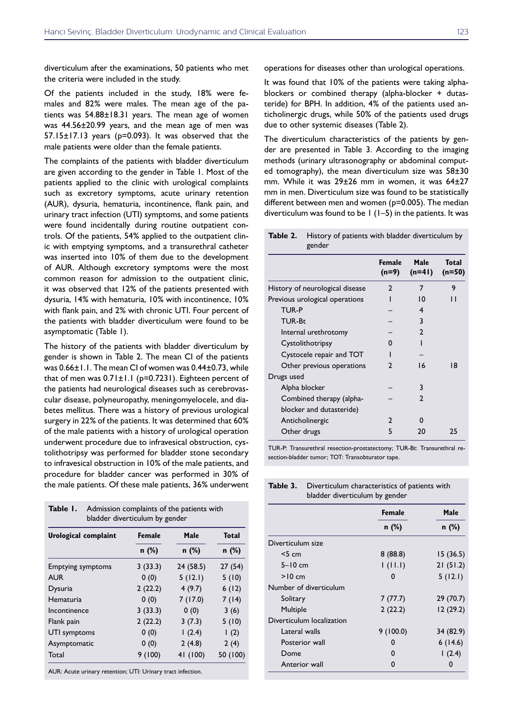diverticulum after the examinations, 50 patients who met the criteria were included in the study.

Of the patients included in the study, 18% were females and 82% were males. The mean age of the patients was  $54.88 \pm 18.31$  years. The mean age of women was 44.56±20.99 years, and the mean age of men was  $57.15\pm17.13$  years ( $p=0.093$ ). It was observed that the male patients were older than the female patients.

The complaints of the patients with bladder diverticulum are given according to the gender in Table 1. Most of the patients applied to the clinic with urological complaints such as excretory symptoms, acute urinary retention (AUR), dysuria, hematuria, incontinence, flank pain, and urinary tract infection (UTI) symptoms, and some patients were found incidentally during routine outpatient controls. Of the patients, 54% applied to the outpatient clinic with emptying symptoms, and a transurethral catheter was inserted into 10% of them due to the development of AUR. Although excretory symptoms were the most common reason for admission to the outpatient clinic, it was observed that 12% of the patients presented with dysuria, 14% with hematuria, 10% with incontinence, 10% with flank pain, and 2% with chronic UTI. Four percent of the patients with bladder diverticulum were found to be asymptomatic (Table 1).

The history of the patients with bladder diverticulum by gender is shown in Table 2. The mean CI of the patients was 0.66±1.1. The mean CI of women was 0.44±0.73, while that of men was 0.71±1.1 (p=0.7231). Eighteen percent of the patients had neurological diseases such as cerebrovascular disease, polyneuropathy, meningomyelocele, and diabetes mellitus. There was a history of previous urological surgery in 22% of the patients. It was determined that 60% of the male patients with a history of urological operation underwent procedure due to infravesical obstruction, cystolithotripsy was performed for bladder stone secondary to infravesical obstruction in 10% of the male patients, and procedure for bladder cancer was performed in 30% of the male patients. Of these male patients, 36% underwent

| Urological complaint     | <b>Female</b> | Male      | <b>Total</b> |  |
|--------------------------|---------------|-----------|--------------|--|
|                          | $n$ (%)       | n (%)     | $n$ (%)      |  |
| <b>Emptying symptoms</b> | 3(33.3)       | 24 (58.5) | 27(54)       |  |
| <b>AUR</b>               | 0(0)          | 5(12.1)   | 5(10)        |  |
| Dysuria                  | 2(22.2)       | 4(9.7)    | 6(12)        |  |
| Hematuria                | 0(0)          | 7(17.0)   | 7(14)        |  |
| Incontinence             | 3(33.3)       | 0(0)      | 3(6)         |  |
| Flank pain               | 2(22.2)       | 3(7.3)    | 5(10)        |  |
| UTI symptoms             | 0(0)          | 1(2.4)    | 1(2)         |  |
| Asymptomatic             | 0(0)          | 2(4.8)    | 2(4)         |  |
| Total                    | 9(100)        | 41 (100)  | 50 (100)     |  |

AUR: Acute urinary retention; UTI: Urinary tract infection.

**Table 1.** Admission complaints of the patients with

operations for diseases other than urological operations.

It was found that 10% of the patients were taking alphablockers or combined therapy (alpha-blocker + dutasteride) for BPH. In addition, 4% of the patients used anticholinergic drugs, while 50% of the patients used drugs due to other systemic diseases (Table 2).

The diverticulum characteristics of the patients by gender are presented in Table 3. According to the imaging methods (urinary ultrasonography or abdominal computed tomography), the mean diverticulum size was  $58\pm30$ mm. While it was 29±26 mm in women, it was 64±27 mm in men. Diverticulum size was found to be statistically different between men and women (p=0.005). The median diverticulum was found to be  $1$  (1-5) in the patients. It was

**Table 2.** History of patients with bladder diverticulum by gender

|                                 | Female<br>$(n=9)$ | Male<br>$(n=4)$ | <b>Total</b><br>$(n=50)$ |
|---------------------------------|-------------------|-----------------|--------------------------|
| History of neurological disease | $\mathfrak{p}$    | 7               | 9                        |
| Previous urological operations  |                   | 10              | 1 I                      |
| <b>TUR-P</b>                    |                   | 4               |                          |
| TUR-Bt                          |                   | 3               |                          |
| Internal urethrotomy            |                   | $\mathbf{2}$    |                          |
| Cystolithotripsy                | O                 |                 |                          |
| Cystocele repair and TOT        |                   |                 |                          |
| Other previous operations       | 2                 | 16              | 18                       |
| Drugs used                      |                   |                 |                          |
| Alpha blocker                   |                   | 3               |                          |
| Combined therapy (alpha-        |                   | C               |                          |
| blocker and dutasteride)        |                   |                 |                          |
| Anticholinergic                 | $\mathfrak{p}$    | n               |                          |
| Other drugs                     | 5                 | 20              | 25                       |
|                                 |                   |                 |                          |

TUR-P: Transurethral resection-prostatectomy; TUR-Bt: Transurethral resection-bladder tumor; TOT: Transobturator tape.

| <b>Table 3.</b> Diverticulum characteristics of patients with |
|---------------------------------------------------------------|
| bladder diverticulum by gender                                |

|                           | <b>Female</b> | Male      |  |
|---------------------------|---------------|-----------|--|
|                           | $n$ (%)       | n (%)     |  |
| Diverticulum size         |               |           |  |
| $<$ 5 cm                  | 8(88.8)       | 15(36.5)  |  |
| $5-10$ cm                 | 1(11.1)       | 21(51.2)  |  |
| $>10$ cm                  | O             | 5(12.1)   |  |
| Number of diverticulum    |               |           |  |
| Solitary                  | 7(77.7)       | 29 (70.7) |  |
| Multiple                  | 2(22.2)       | 12(29.2)  |  |
| Diverticulum localization |               |           |  |
| Lateral walls             | 9(100.0)      | 34 (82.9) |  |
| Posterior wall            | o             | 6(14.6)   |  |
| Dome                      | O             | 1(2.4)    |  |
| Anterior wall             | O             | 0         |  |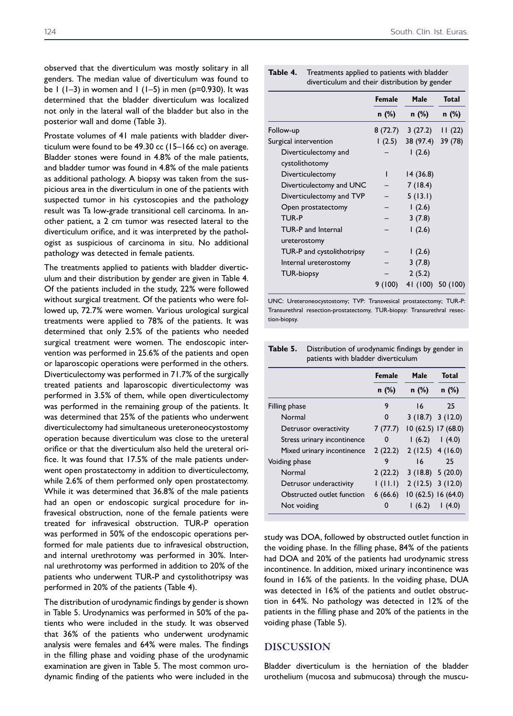observed that the diverticulum was mostly solitary in all genders. The median value of diverticulum was found to be  $1$  (1–3) in women and  $1$  (1–5) in men (p=0.930). It was determined that the bladder diverticulum was localized not only in the lateral wall of the bladder but also in the posterior wall and dome (Table 3).

Prostate volumes of 41 male patients with bladder diverticulum were found to be 49.30 cc (15–166 cc) on average. Bladder stones were found in 4.8% of the male patients, and bladder tumor was found in 4.8% of the male patients as additional pathology. A biopsy was taken from the suspicious area in the diverticulum in one of the patients with suspected tumor in his cystoscopies and the pathology result was Ta low-grade transitional cell carcinoma. In another patient, a 2 cm tumor was resected lateral to the diverticulum orifice, and it was interpreted by the pathologist as suspicious of carcinoma in situ. No additional pathology was detected in female patients.

The treatments applied to patients with bladder diverticulum and their distribution by gender are given in Table 4. Of the patients included in the study, 22% were followed without surgical treatment. Of the patients who were followed up, 72.7% were women. Various urological surgical treatments were applied to 78% of the patients. It was determined that only 2.5% of the patients who needed surgical treatment were women. The endoscopic intervention was performed in 25.6% of the patients and open or laparoscopic operations were performed in the others. Diverticulectomy was performed in 71.7% of the surgically treated patients and laparoscopic diverticulectomy was performed in 3.5% of them, while open diverticulectomy was performed in the remaining group of the patients. It was determined that 25% of the patients who underwent diverticulectomy had simultaneous ureteroneocystostomy operation because diverticulum was close to the ureteral orifice or that the diverticulum also held the ureteral orifice. It was found that 17.5% of the male patients underwent open prostatectomy in addition to diverticulectomy, while 2.6% of them performed only open prostatectomy. While it was determined that 36.8% of the male patients had an open or endoscopic surgical procedure for infravesical obstruction, none of the female patients were treated for infravesical obstruction. TUR-P operation was performed in 50% of the endoscopic operations performed for male patients due to infravesical obstruction, and internal urethrotomy was performed in 30%. Internal urethrotomy was performed in addition to 20% of the patients who underwent TUR-P and cystolithotripsy was performed in 20% of the patients (Table 4).

The distribution of urodynamic findings by gender is shown in Table 5. Urodynamics was performed in 50% of the patients who were included in the study. It was observed that 36% of the patients who underwent urodynamic analysis were females and 64% were males. The findings in the filling phase and voiding phase of the urodynamic examination are given in Table 5. The most common urodynamic finding of the patients who were included in the

**Table 4.** Treatments applied to patients with bladder diverticulum and their distribution by gender

|                                           | <b>Female</b> | Male              | <b>Total</b>      |
|-------------------------------------------|---------------|-------------------|-------------------|
|                                           | n (%)         | $n$ (%)           | n (%)             |
| Follow-up                                 |               | 8 (72.7) 3 (27.2) | 11(22)            |
| Surgical intervention                     | (2.5)         | 38 (97.4)         | 39 (78)           |
| Diverticulectomy and<br>cystolithotomy    |               | 1(2.6)            |                   |
| Diverticulectomy                          | ı             | 14(36.8)          |                   |
| Diverticulectomy and UNC                  |               | 7(18.4)           |                   |
| Diverticulectomy and TVP                  |               | 5(13.1)           |                   |
| Open prostatectomy                        |               | 1(2.6)            |                   |
| <b>TUR-P</b>                              |               | 3(7.8)            |                   |
| <b>TUR-P and Internal</b><br>ureterostomy |               | 1(2.6)            |                   |
| TUR-P and cystolithotripsy                |               | 1(2.6)            |                   |
| Internal ureterostomy                     |               | 3(7.8)            |                   |
| <b>TUR-biopsy</b>                         |               | 2(5.2)            |                   |
|                                           | 9(100)        |                   | 41 (100) 50 (100) |

UNC: Ureteroneocystostomy; TVP: Transvesical prostatectomy; TUR-P: Transurethral resection-prostatectomy, TUR-biopsy: Transurethral resection-biopsy.

**Table 5.** Distribution of urodynamic findings by gender in patients with bladder diverticulum

|                             | Female  | Male                | <b>Total</b> |
|-----------------------------|---------|---------------------|--------------|
|                             | $n$ (%) | $n$ (%)             | n (%)        |
| Filling phase               | 9       | 16                  | 25           |
| Normal                      | 0       | $3(18.7)$ $3(12.0)$ |              |
| Detrusor overactivity       | 7(77.7) | 10 (62.5) 17 (68.0) |              |
| Stress urinary incontinence | 0       | 1(6.2)              | (4.0)        |
| Mixed urinary incontinence  | 2(22.2) | 2(12.5) 4(16.0)     |              |
| Voiding phase               | 9       | 16                  | 25           |
| Normal                      | 2(22.2) | 3(18.8) 5(20.0)     |              |
| Detrusor underactivity      | 1(11.1) | $2(12.5)$ 3 (12.0)  |              |
| Obstructed outlet function  | 6(66.6) | 10 (62.5) 16 (64.0) |              |
| Not voiding                 | 0       | 1(6.2)              | (4.0)        |

study was DOA, followed by obstructed outlet function in the voiding phase. In the filling phase, 84% of the patients had DOA and 20% of the patients had urodynamic stress incontinence. In addition, mixed urinary incontinence was found in 16% of the patients. In the voiding phase, DUA was detected in 16% of the patients and outlet obstruction in 64%. No pathology was detected in 12% of the patients in the filling phase and 20% of the patients in the voiding phase (Table 5).

## DISCUSSION

Bladder diverticulum is the herniation of the bladder urothelium (mucosa and submucosa) through the muscu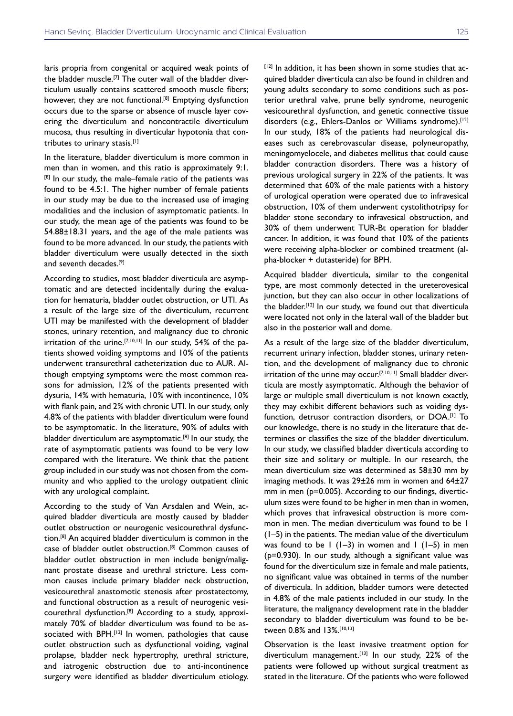laris propria from congenital or acquired weak points of the bladder muscle.<sup>[7]</sup> The outer wall of the bladder diverticulum usually contains scattered smooth muscle fibers; however, they are not functional.<sup>[8]</sup> Emptying dysfunction occurs due to the sparse or absence of muscle layer covering the diverticulum and noncontractile diverticulum mucosa, thus resulting in diverticular hypotonia that contributes to urinary stasis.[1]

In the literature, bladder diverticulum is more common in men than in women, and this ratio is approximately 9:1. [8] In our study, the male–female ratio of the patients was found to be 4.5:1. The higher number of female patients in our study may be due to the increased use of imaging modalities and the inclusion of asymptomatic patients. In our study, the mean age of the patients was found to be 54.88±18.31 years, and the age of the male patients was found to be more advanced. In our study, the patients with bladder diverticulum were usually detected in the sixth and seventh decades.<sup>[9]</sup>

According to studies, most bladder diverticula are asymptomatic and are detected incidentally during the evaluation for hematuria, bladder outlet obstruction, or UTI. As a result of the large size of the diverticulum, recurrent UTI may be manifested with the development of bladder stones, urinary retention, and malignancy due to chronic irritation of the urine.<sup>[7,10,11]</sup> In our study, 54% of the patients showed voiding symptoms and 10% of the patients underwent transurethral catheterization due to AUR. Although emptying symptoms were the most common reasons for admission, 12% of the patients presented with dysuria, 14% with hematuria, 10% with incontinence, 10% with flank pain, and 2% with chronic UTI. In our study, only 4.8% of the patients with bladder diverticulum were found to be asymptomatic. In the literature, 90% of adults with bladder diverticulum are asymptomatic.<sup>[8]</sup> In our study, the rate of asymptomatic patients was found to be very low compared with the literature. We think that the patient group included in our study was not chosen from the community and who applied to the urology outpatient clinic with any urological complaint.

According to the study of Van Arsdalen and Wein, acquired bladder diverticula are mostly caused by bladder outlet obstruction or neurogenic vesicourethral dysfunction.[8] An acquired bladder diverticulum is common in the case of bladder outlet obstruction.[8] Common causes of bladder outlet obstruction in men include benign/malignant prostate disease and urethral stricture. Less common causes include primary bladder neck obstruction, vesicourethral anastomotic stenosis after prostatectomy, and functional obstruction as a result of neurogenic vesicourethral dysfunction.[8] According to a study, approximately 70% of bladder diverticulum was found to be associated with BPH.<sup>[12]</sup> In women, pathologies that cause outlet obstruction such as dysfunctional voiding, vaginal prolapse, bladder neck hypertrophy, urethral stricture, and iatrogenic obstruction due to anti-incontinence surgery were identified as bladder diverticulum etiology.

[12] In addition, it has been shown in some studies that acquired bladder diverticula can also be found in children and young adults secondary to some conditions such as posterior urethral valve, prune belly syndrome, neurogenic vesicourethral dysfunction, and genetic connective tissue disorders (e.g., Ehlers-Danlos or Williams syndrome).<sup>[12]</sup> In our study, 18% of the patients had neurological diseases such as cerebrovascular disease, polyneuropathy, meningomyelocele, and diabetes mellitus that could cause bladder contraction disorders. There was a history of previous urological surgery in 22% of the patients. It was determined that 60% of the male patients with a history of urological operation were operated due to infravesical obstruction, 10% of them underwent cystolithotripsy for bladder stone secondary to infravesical obstruction, and 30% of them underwent TUR-Bt operation for bladder cancer. In addition, it was found that 10% of the patients were receiving alpha-blocker or combined treatment (alpha-blocker + dutasteride) for BPH.

Acquired bladder diverticula, similar to the congenital type, are most commonly detected in the ureterovesical junction, but they can also occur in other localizations of the bladder.[12] In our study, we found out that diverticula were located not only in the lateral wall of the bladder but also in the posterior wall and dome.

As a result of the large size of the bladder diverticulum, recurrent urinary infection, bladder stones, urinary retention, and the development of malignancy due to chronic irritation of the urine may occur.[7,10,11] Small bladder diverticula are mostly asymptomatic. Although the behavior of large or multiple small diverticulum is not known exactly, they may exhibit different behaviors such as voiding dysfunction, detrusor contraction disorders, or DOA.[1] To our knowledge, there is no study in the literature that determines or classifies the size of the bladder diverticulum. In our study, we classified bladder diverticula according to their size and solitary or multiple. In our research, the mean diverticulum size was determined as 58±30 mm by imaging methods. It was 29±26 mm in women and 64±27 mm in men (p=0.005). According to our findings, diverticulum sizes were found to be higher in men than in women, which proves that infravesical obstruction is more common in men. The median diverticulum was found to be 1 (1–5) in the patients. The median value of the diverticulum was found to be  $1$  (1-3) in women and  $1$  (1-5) in men (p=0.930). In our study, although a significant value was found for the diverticulum size in female and male patients, no significant value was obtained in terms of the number of diverticula. In addition, bladder tumors were detected in 4.8% of the male patients included in our study. In the literature, the malignancy development rate in the bladder secondary to bladder diverticulum was found to be between 0.8% and 13%.[10,13]

Observation is the least invasive treatment option for diverticulum management.<sup>[13]</sup> In our study, 22% of the patients were followed up without surgical treatment as stated in the literature. Of the patients who were followed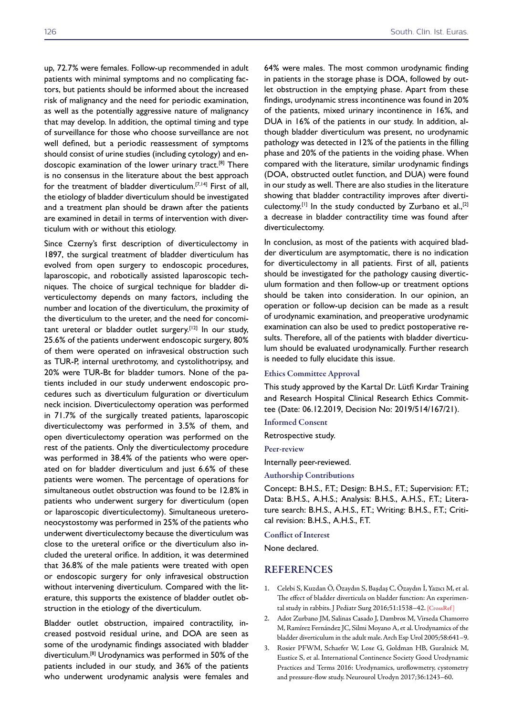up, 72.7% were females. Follow-up recommended in adult patients with minimal symptoms and no complicating factors, but patients should be informed about the increased risk of malignancy and the need for periodic examination, as well as the potentially aggressive nature of malignancy that may develop. In addition, the optimal timing and type of surveillance for those who choose surveillance are not well defined, but a periodic reassessment of symptoms should consist of urine studies (including cytology) and endoscopic examination of the lower urinary tract.<sup>[8]</sup> There is no consensus in the literature about the best approach for the treatment of bladder diverticulum.<sup>[7,14]</sup> First of all, the etiology of bladder diverticulum should be investigated and a treatment plan should be drawn after the patients are examined in detail in terms of intervention with diverticulum with or without this etiology.

Since Czerny's first description of diverticulectomy in 1897, the surgical treatment of bladder diverticulum has evolved from open surgery to endoscopic procedures, laparoscopic, and robotically assisted laparoscopic techniques. The choice of surgical technique for bladder diverticulectomy depends on many factors, including the number and location of the diverticulum, the proximity of the diverticulum to the ureter, and the need for concomitant ureteral or bladder outlet surgery.<sup>[12]</sup> In our study, 25.6% of the patients underwent endoscopic surgery, 80% of them were operated on infravesical obstruction such as TUR-P, internal urethrotomy, and cystolithotripsy, and 20% were TUR-Bt for bladder tumors. None of the patients included in our study underwent endoscopic procedures such as diverticulum fulguration or diverticulum neck incision. Diverticulectomy operation was performed in 71.7% of the surgically treated patients, laparoscopic diverticulectomy was performed in 3.5% of them, and open diverticulectomy operation was performed on the rest of the patients. Only the diverticulectomy procedure was performed in 38.4% of the patients who were operated on for bladder diverticulum and just 6.6% of these patients were women. The percentage of operations for simultaneous outlet obstruction was found to be 12.8% in patients who underwent surgery for diverticulum (open or laparoscopic diverticulectomy). Simultaneous ureteroneocystostomy was performed in 25% of the patients who underwent diverticulectomy because the diverticulum was close to the ureteral orifice or the diverticulum also included the ureteral orifice. In addition, it was determined that 36.8% of the male patients were treated with open or endoscopic surgery for only infravesical obstruction without intervening diverticulum. Compared with the literature, this supports the existence of bladder outlet obstruction in the etiology of the diverticulum.

Bladder outlet obstruction, impaired contractility, increased postvoid residual urine, and DOA are seen as some of the urodynamic findings associated with bladder diverticulum.[8] Urodynamics was performed in 50% of the patients included in our study, and 36% of the patients who underwent urodynamic analysis were females and

64% were males. The most common urodynamic finding in patients in the storage phase is DOA, followed by outlet obstruction in the emptying phase. Apart from these findings, urodynamic stress incontinence was found in 20% of the patients, mixed urinary incontinence in 16%, and DUA in 16% of the patients in our study. In addition, although bladder diverticulum was present, no urodynamic pathology was detected in 12% of the patients in the filling phase and 20% of the patients in the voiding phase. When compared with the literature, similar urodynamic findings (DOA, obstructed outlet function, and DUA) were found in our study as well. There are also studies in the literature showing that bladder contractility improves after diverticulectomy.<sup>[1]</sup> In the study conducted by Zurbano et al.,<sup>[2]</sup> a decrease in bladder contractility time was found after diverticulectomy.

In conclusion, as most of the patients with acquired bladder diverticulum are asymptomatic, there is no indication for diverticulectomy in all patients. First of all, patients should be investigated for the pathology causing diverticulum formation and then follow-up or treatment options should be taken into consideration. In our opinion, an operation or follow-up decision can be made as a result of urodynamic examination, and preoperative urodynamic examination can also be used to predict postoperative results. Therefore, all of the patients with bladder diverticulum should be evaluated urodynamically. Further research is needed to fully elucidate this issue.

#### Ethics Committee Approval

This study approved by the Kartal Dr. Lütfi Kırdar Training and Research Hospital Clinical Research Ethics Committee (Date: 06.12.2019, Decision No: 2019/514/167/21).

Informed Consent

Retrospective study.

Peer-review

Internally peer-reviewed.

Authorship Contributions

Concept: B.H.S., F.T.; Design: B.H.S., F.T.; Supervision: F.T.; Data: B.H.S., A.H.S.; Analysis: B.H.S., A.H.S., F.T.; Literature search: B.H.S., A.H.S., F.T.; Writing: B.H.S., F.T.; Critical revision: B.H.S., A.H.S., F.T.

Conflict of Interest

None declared.

### REFERENCES

- 1. Celebi S, Kuzdan Ö, Özaydın S, Başdaş C, Özaydın İ, Yazıcı M, et al. The effect of bladder diverticula on bladder function: An experimental study in rabbits. J Pediatr Surg 2016;51:1538–[42. \[CrossRef \]](https://doi.org/10.1016/j.jpedsurg.2016.02.087)
- 2. Adot Zurbano JM, Salinas Casado J, Dambros M, Virseda Chamorro M, Ramírez Fernández JC, Silmi Moyano A, et al. Urodynamics of the bladder diverticulum in the adult male. Arch Esp Urol 2005;58:641–9.
- 3. Rosier PFWM, Schaefer W, Lose G, Goldman HB, Guralnick M, Eustice S, et al. International Continence Society Good Urodynamic Practices and Terms 2016: Urodynamics, uroflowmetry, cystometry and pressure-flow study. Neurourol Urodyn 2017[;36:1243–60.](https://doi.org/10.1002/nau.23124)